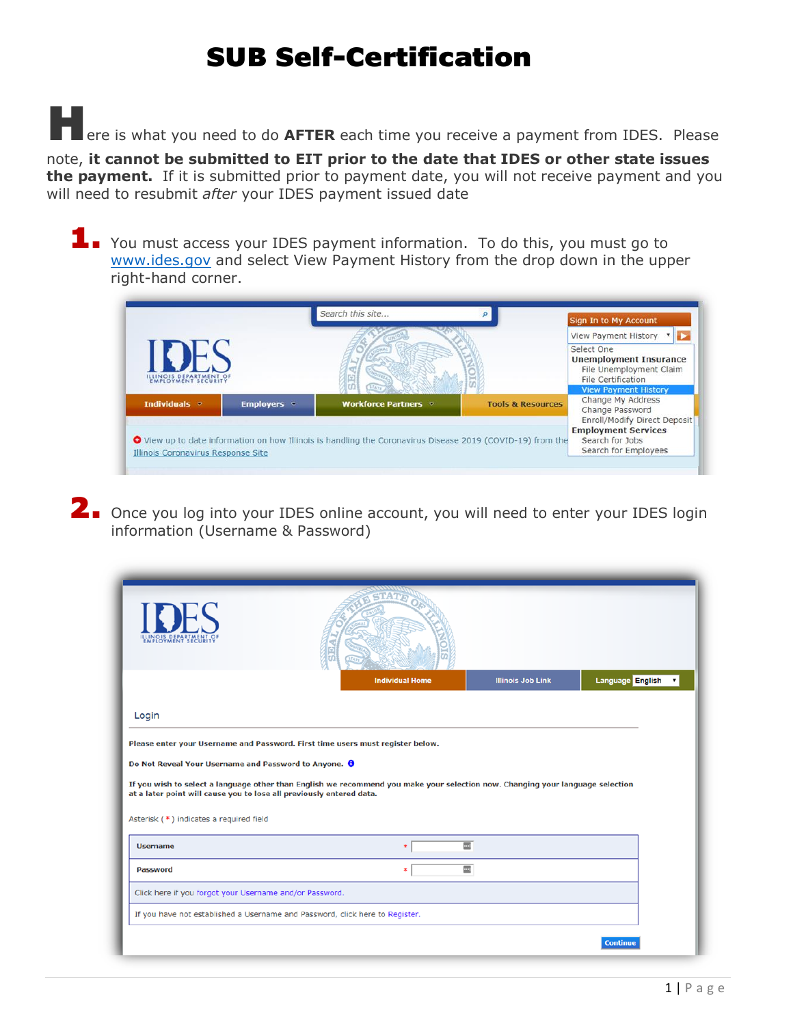Here is what you need to do **AFTER** each time you receive a payment from IDES. Please

note, **it cannot be submitted to EIT prior to the date that IDES or other state issues the payment.** If it is submitted prior to payment date, you will not receive payment and you will need to resubmit *after* your IDES payment issued date

1. You must access your IDES payment information. To do this, you must go to [www.ides.gov](http://www.ides.gov/) and select View Payment History from the drop down in the upper right-hand corner.



2. Once you log into your IDES online account, you will need to enter your IDES login information (Username & Password)

|                                                                      | <b>Individual Home</b>                                                                                                         | <b>Illinois Job Link</b> | Language English<br>$\pmb{\mathrm{v}}$ |
|----------------------------------------------------------------------|--------------------------------------------------------------------------------------------------------------------------------|--------------------------|----------------------------------------|
| Login                                                                |                                                                                                                                |                          |                                        |
|                                                                      | Please enter your Username and Password. First time users must register below.                                                 |                          |                                        |
| Do Not Reveal Your Username and Password to Anyone. O                |                                                                                                                                |                          |                                        |
| at a later point will cause you to lose all previously entered data. | If you wish to select a language other than English we recommend you make your selection now. Changing your language selection |                          |                                        |
| Asterisk (*) indicates a required field                              |                                                                                                                                |                          |                                        |
| <b>Username</b>                                                      | $\blacksquare$<br>$\ast$                                                                                                       |                          |                                        |
| <b>Password</b>                                                      | $\blacksquare$<br>∗                                                                                                            |                          |                                        |
| Click here if you forgot your Username and/or Password.              |                                                                                                                                |                          |                                        |
|                                                                      | If you have not established a Username and Password, click here to Register.                                                   |                          |                                        |
|                                                                      |                                                                                                                                |                          | <b>Continue</b>                        |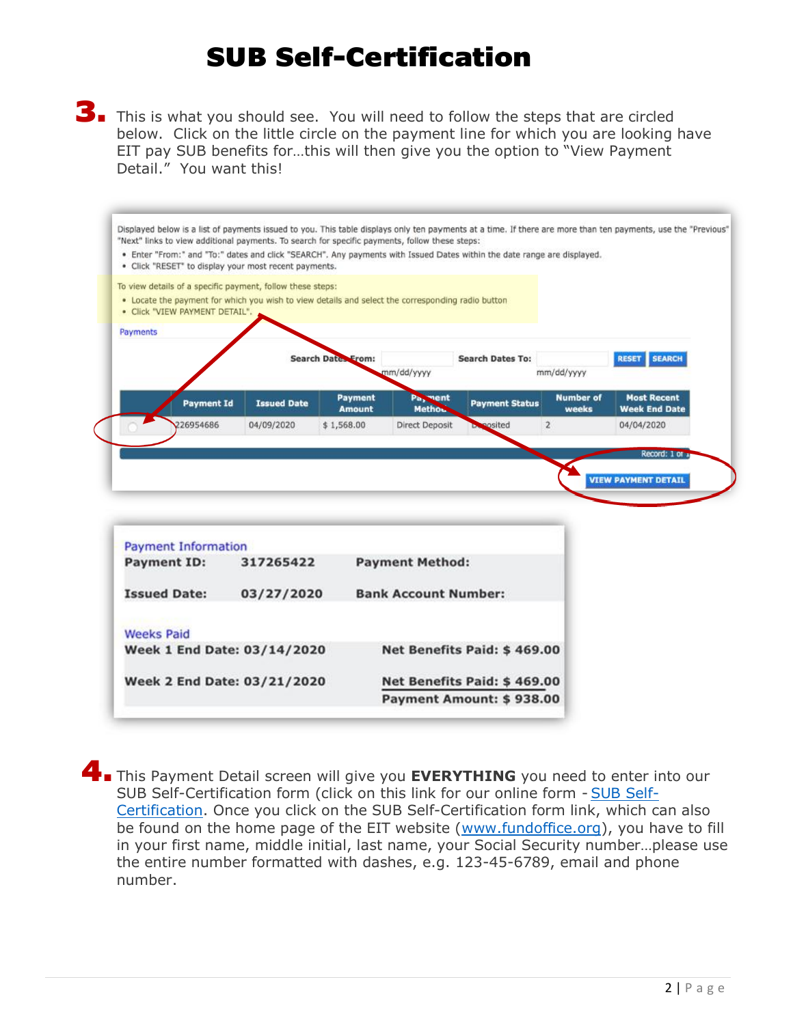3. This is what you should see. You will need to follow the steps that are circled below. Click on the little circle on the payment line for which you are looking have EIT pay SUB benefits for…this will then give you the option to "View Payment Detail." You want this!

|          | · Click "VIEW PAYMENT DETAIL". | To view details of a specific payment, follow these steps:<br>. Locate the payment for which you wish to view details and select the corresponding radio button |                           |                          |                         |                           |                                            |
|----------|--------------------------------|-----------------------------------------------------------------------------------------------------------------------------------------------------------------|---------------------------|--------------------------|-------------------------|---------------------------|--------------------------------------------|
| Payments |                                |                                                                                                                                                                 |                           |                          |                         |                           |                                            |
|          |                                |                                                                                                                                                                 | <b>Search Dates From:</b> | mm/dd/yyyy               | <b>Search Dates To:</b> | mm/dd/yyyy                | <b>SEARCH</b><br><b>RESET</b>              |
|          | <b>Payment Id</b>              | <b>Issued Date</b>                                                                                                                                              | Payment<br><b>Amount</b>  | Pa, ment<br><b>Metho</b> | <b>Payment Status</b>   | <b>Number of</b><br>weeks | <b>Most Recent</b><br><b>Week End Date</b> |
|          | 226954686                      | 04/09/2020                                                                                                                                                      | \$1,568.00                | <b>Direct Deposit</b>    | posited                 | $\overline{2}$            | 04/04/2020                                 |
|          |                                |                                                                                                                                                                 |                           |                          |                         |                           | Record: 1 or 1                             |
|          |                                |                                                                                                                                                                 |                           |                          |                         |                           | <b>VIEW PAYMENT DETAIL</b>                 |

| Payment Information |                             |                             |
|---------------------|-----------------------------|-----------------------------|
| <b>Payment ID:</b>  | 317265422                   | <b>Payment Method:</b>      |
| <b>Issued Date:</b> | 03/27/2020                  | <b>Bank Account Number:</b> |
| <b>Weeks Paid</b>   |                             |                             |
|                     | Week 1 End Date: 03/14/2020 | Net Benefits Paid: \$469.00 |
|                     | Week 2 End Date: 03/21/2020 | Net Benefits Paid: \$469.00 |
|                     |                             | Payment Amount: \$938.00    |

**4.** This Payment Detail screen will give you **EVERYTHING** you need to enter into our SUB Self-Certification form (click on this link for our online form - [SUB Self-](https://nam10.safelinks.protection.outlook.com/?url=https%3A%2F%2Fforms.office.com%2FPages%2FResponsePage.aspx%3Fid%3DjOtysgEOZ0udLCOg8ZCJ9FGJZrK0hGhIqGRKcYWKRSJUQlEyMDMwTDRNU01JTjJBUlk0TExCUFNMUyQlQCN0PWcu&data=02%7C01%7CSUBapp%40fundoffice.org%7C96cf5db200c74b8dc0ed08d7d527cb6f%7Cb272eb8c0e014b679d2c23a0f19089f4%7C0%7C0%7C637212239217481354&sdata=5aSVahKFvIpVd6kxTuFAZOOTN7ZwN%2BiXtMCi%2FTyWwcg%3D&reserved=0)[Certification.](https://nam10.safelinks.protection.outlook.com/?url=https%3A%2F%2Fforms.office.com%2FPages%2FResponsePage.aspx%3Fid%3DjOtysgEOZ0udLCOg8ZCJ9FGJZrK0hGhIqGRKcYWKRSJUQlEyMDMwTDRNU01JTjJBUlk0TExCUFNMUyQlQCN0PWcu&data=02%7C01%7CSUBapp%40fundoffice.org%7C96cf5db200c74b8dc0ed08d7d527cb6f%7Cb272eb8c0e014b679d2c23a0f19089f4%7C0%7C0%7C637212239217481354&sdata=5aSVahKFvIpVd6kxTuFAZOOTN7ZwN%2BiXtMCi%2FTyWwcg%3D&reserved=0) Once you click on the SUB Self-Certification form link, which can also be found on the home page of the EIT website [\(www.fundoffice.org\)](http://www.fundoffice.org/), you have to fill in your first name, middle initial, last name, your Social Security number…please use the entire number formatted with dashes, e.g. 123-45-6789, email and phone number.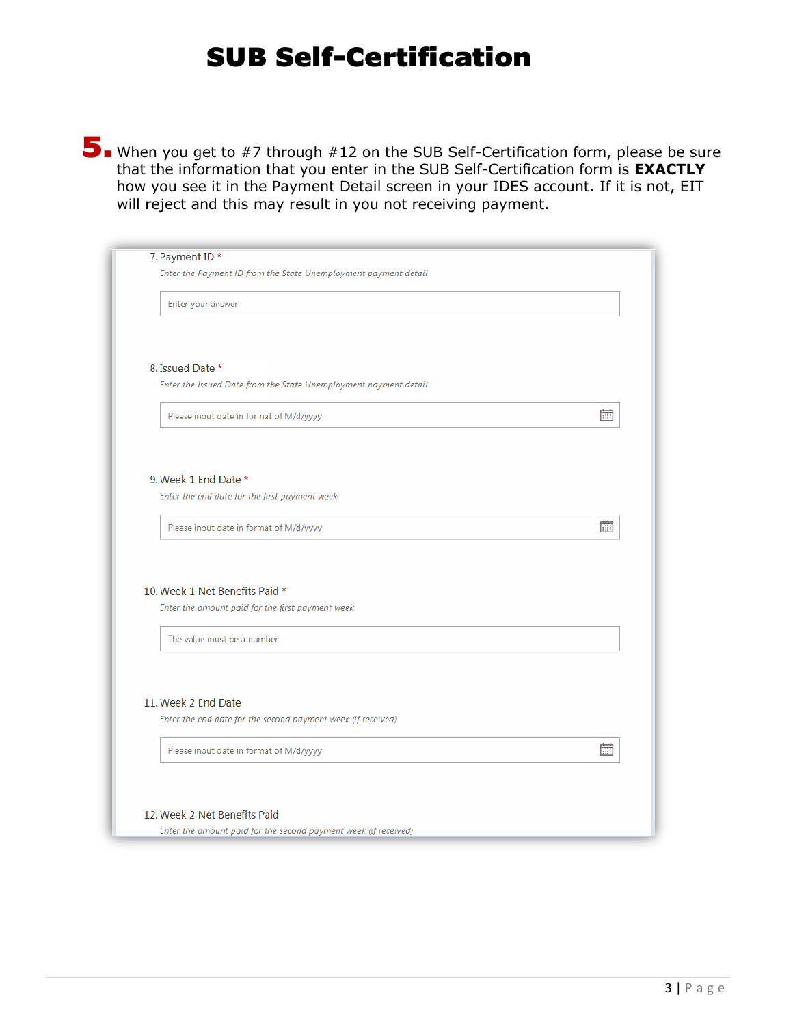5. When you get to #7 through #12 on the SUB Self-Certification form, please be sure that the information that you enter in the SUB Self-Certification form is **EXACTLY**  how you see it in the Payment Detail screen in your IDES account. If it is not, EIT will reject and this may result in you not receiving payment.